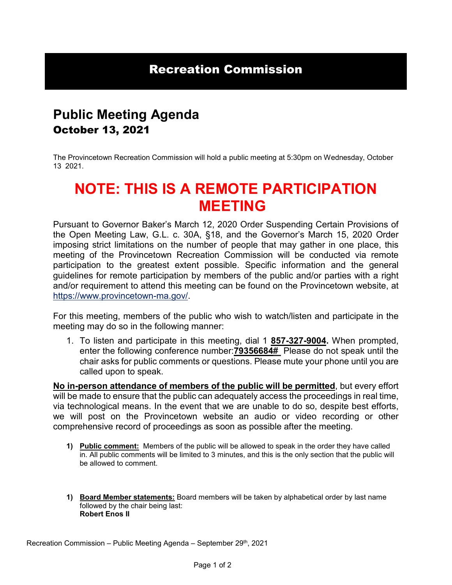### Recreation Commission

## **Public Meeting Agenda**  October 13, 2021

The Provincetown Recreation Commission will hold a public meeting at 5:30pm on Wednesday, October 13 2021.

# **NOTE: THIS IS A REMOTE PARTICIPATION MEETING**

Pursuant to Governor Baker's March 12, 2020 Order Suspending Certain Provisions of the Open Meeting Law, G.L. c. 30A, §18, and the Governor's March 15, 2020 Order imposing strict limitations on the number of people that may gather in one place, this meeting of the Provincetown Recreation Commission will be conducted via remote participation to the greatest extent possible. Specific information and the general guidelines for remote participation by members of the public and/or parties with a right and/or requirement to attend this meeting can be found on the Provincetown website, at [https://www.provincetown-ma.gov/.](https://www.provincetown-ma.gov/)

For this meeting, members of the public who wish to watch/listen and participate in the meeting may do so in the following manner:

1. To listen and participate in this meeting, dial 1 **857-327-9004.** When prompted, enter the following conference number:**79356684#** Please do not speak until the chair asks for public comments or questions. Please mute your phone until you are called upon to speak.

**No in-person attendance of members of the public will be permitted**, but every effort will be made to ensure that the public can adequately access the proceedings in real time, via technological means. In the event that we are unable to do so, despite best efforts, we will post on the Provincetown website an audio or video recording or other comprehensive record of proceedings as soon as possible after the meeting.

- **1) Public comment:** Members of the public will be allowed to speak in the order they have called in. All public comments will be limited to 3 minutes, and this is the only section that the public will be allowed to comment.
- **1) Board Member statements:** Board members will be taken by alphabetical order by last name followed by the chair being last: **Robert Enos II**